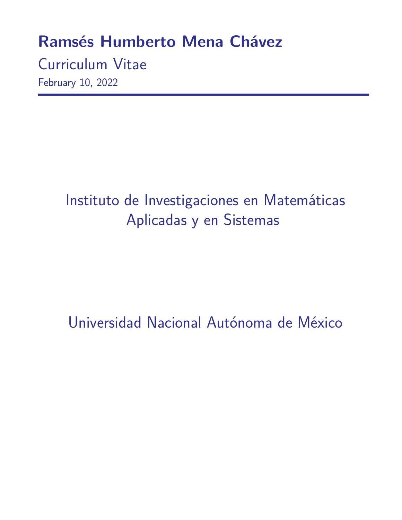## **Ramsés Humberto Mena Chávez**

Curriculum Vitae February 10, 2022

# Instituto de Investigaciones en Matemáticas Aplicadas y en Sistemas

Universidad Nacional Autónoma de México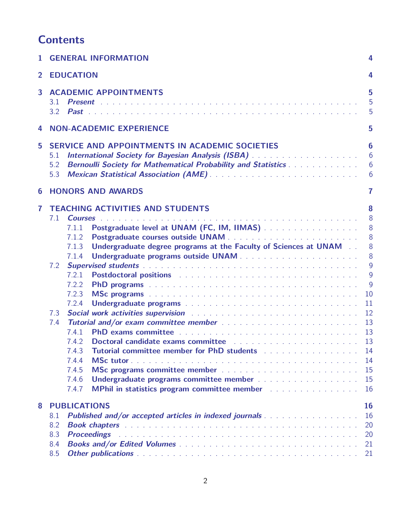## **Contents**

| 1                | <b>GENERAL INFORMATION</b>                                                                                                                                                                                                                                                                                                                                                                                                                                                                                                                                                                                                                                                                                                                                                                                                                                  | 4                                                                                                                        |
|------------------|-------------------------------------------------------------------------------------------------------------------------------------------------------------------------------------------------------------------------------------------------------------------------------------------------------------------------------------------------------------------------------------------------------------------------------------------------------------------------------------------------------------------------------------------------------------------------------------------------------------------------------------------------------------------------------------------------------------------------------------------------------------------------------------------------------------------------------------------------------------|--------------------------------------------------------------------------------------------------------------------------|
| $\mathbf{2}$     | <b>EDUCATION</b>                                                                                                                                                                                                                                                                                                                                                                                                                                                                                                                                                                                                                                                                                                                                                                                                                                            | 4                                                                                                                        |
| 3                | <b>ACADEMIC APPOINTMENTS</b><br>3.1<br>3.2                                                                                                                                                                                                                                                                                                                                                                                                                                                                                                                                                                                                                                                                                                                                                                                                                  | 5<br>5<br>5                                                                                                              |
| 4                | <b>NON-ACADEMIC EXPERIENCE</b>                                                                                                                                                                                                                                                                                                                                                                                                                                                                                                                                                                                                                                                                                                                                                                                                                              | 5                                                                                                                        |
| 5                | SERVICE AND APPOINTMENTS IN ACADEMIC SOCIETIES<br>International Society for Bayesian Analysis (ISBA) And All Analysis ( ISBA )<br>5.1<br>Bernoulli Society for Mathematical Probability and Statistics<br>5.2<br>5.3                                                                                                                                                                                                                                                                                                                                                                                                                                                                                                                                                                                                                                        | 6<br>6<br>6<br>6                                                                                                         |
| $\boldsymbol{6}$ | <b>HONORS AND AWARDS</b>                                                                                                                                                                                                                                                                                                                                                                                                                                                                                                                                                                                                                                                                                                                                                                                                                                    | 7                                                                                                                        |
| 7                | <b>TEACHING ACTIVITIES AND STUDENTS</b><br>7.1<br><b>Courses</b><br>المتحدث والمتحدث والمتحدث والمتحدث والمتحدث والمتحدث والمتحدث والمتحدث والمتحدث والمتحدث والمتحدث<br>Postgraduate level at UNAM (FC, IM, IIMAS)<br>7.1.1<br>7.1.2<br>Undergraduate degree programs at the Faculty of Sciences at UNAM<br>7.1.3<br>7.1.4<br>7.2<br>7.2.1<br>7.2.2<br>7.2.3<br>7.2.4<br>7.3<br>7.4<br>7.4.1<br>Doctoral candidate exams committee enterpress and an enterpress contract to the contract of the contract of the contract of the contract of the contract of the contract of the contract of the contract of the contract of th<br>7.4.2<br>7.4.3<br>Tutorial committee member for PhD students Alberta Alberta Alberta Alberta Alberta Alberta Alberta Alberta Alb<br>7.4.4<br>7.4.5<br>7.4.6<br>7.4.7<br>MPhil in statistics program committee member [1] | 8<br>8<br>8<br>8<br>8<br>8<br>9<br>$\overline{9}$<br>9<br>10<br>11<br>12<br>13<br>13<br>13<br>14<br>14<br>15<br>15<br>16 |
| 8                | <b>PUBLICATIONS</b><br><b>Published and/or accepted articles in indexed journals </b><br>8.1<br>8.2<br>8.3<br><b>Proceedings</b><br>8.4<br>8.5                                                                                                                                                                                                                                                                                                                                                                                                                                                                                                                                                                                                                                                                                                              | <b>16</b><br>16<br>20<br>20<br>21<br>21                                                                                  |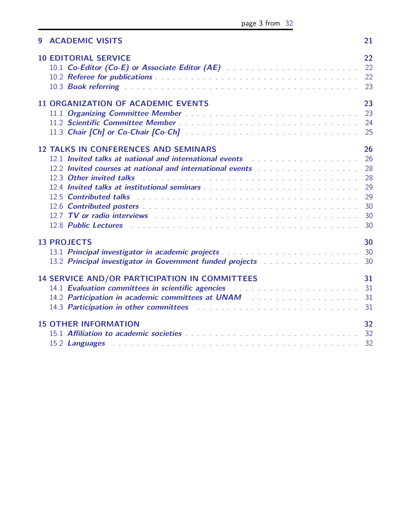| 9 ACADEMIC VISITS                                                                                                                                                                                                                                                                                                                                                                                                                                                                                                                                                                                                                                                                                                                                  | 21                                                 |
|----------------------------------------------------------------------------------------------------------------------------------------------------------------------------------------------------------------------------------------------------------------------------------------------------------------------------------------------------------------------------------------------------------------------------------------------------------------------------------------------------------------------------------------------------------------------------------------------------------------------------------------------------------------------------------------------------------------------------------------------------|----------------------------------------------------|
| <b>10 EDITORIAL SERVICE</b>                                                                                                                                                                                                                                                                                                                                                                                                                                                                                                                                                                                                                                                                                                                        | 22<br>23                                           |
| <b>11 ORGANIZATION OF ACADEMIC EVENTS</b>                                                                                                                                                                                                                                                                                                                                                                                                                                                                                                                                                                                                                                                                                                          | 23<br>23                                           |
| <b>12 TALKS IN CONFERENCES AND SEMINARS</b><br>12.1 Invited talks at national and international events and an amount of the set of the set of the set of the<br>12.2 Invited courses at national and international events with the contract of the contract of the contract of<br>12.3 Other invited talks and all the contract of the contract of the contract of the contract of the contract of the contract of the contract of the contract of the contract of the contract of the contract of the contract<br>12.5 Contributed talks in the contract of the contract of the contract of the contract of the contract of the<br>12.7 TV or radio interviews research and contained a serie of the contact of the contact of the contact of the | 26<br>26<br>28<br>28<br>29<br>29<br>30<br>30<br>30 |
| <b>13 PROJECTS</b><br>13.2 Principal investigator in Government funded projects with the state of the 30                                                                                                                                                                                                                                                                                                                                                                                                                                                                                                                                                                                                                                           | 30                                                 |
| <b>14 SERVICE AND/OR PARTICIPATION IN COMMITTEES</b><br>14.1 Evaluation committees in scientific agencies Albertan Albertan Albertan and St<br>14.2 Participation in academic committees at UNAM Arthur Andrew Material Annual Material Andrew 31<br>14.3 Participation in other committees enterpreterment of the contract of the Sun and the Participation in other                                                                                                                                                                                                                                                                                                                                                                              | 31                                                 |
| <b>15 OTHER INFORMATION</b>                                                                                                                                                                                                                                                                                                                                                                                                                                                                                                                                                                                                                                                                                                                        | 32<br>32                                           |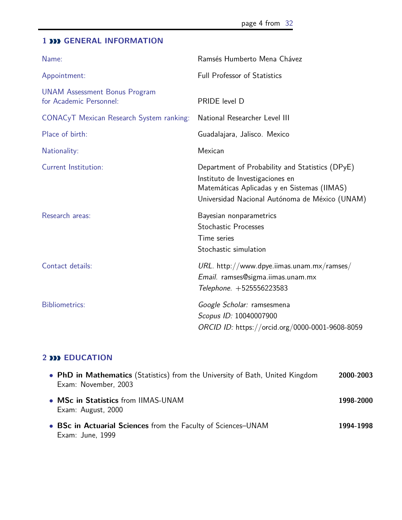## <span id="page-3-0"></span>**1 <b>DD** GENERAL INFORMATION

| Name:                                                           | Ramsés Humberto Mena Chávez                                                                                                                                                         |
|-----------------------------------------------------------------|-------------------------------------------------------------------------------------------------------------------------------------------------------------------------------------|
| Appointment:                                                    | <b>Full Professor of Statistics</b>                                                                                                                                                 |
| <b>UNAM Assessment Bonus Program</b><br>for Academic Personnel: | PRIDE level D                                                                                                                                                                       |
| CONACyT Mexican Research System ranking:                        | National Researcher Level III                                                                                                                                                       |
| Place of birth:                                                 | Guadalajara, Jalisco. Mexico                                                                                                                                                        |
| Nationality:                                                    | Mexican                                                                                                                                                                             |
| <b>Current Institution:</b>                                     | Department of Probability and Statistics (DPyE)<br>Instituto de Investigaciones en<br>Matemáticas Aplicadas y en Sistemas (IIMAS)<br>Universidad Nacional Autónoma de México (UNAM) |
| Research areas:                                                 | Bayesian nonparametrics<br><b>Stochastic Processes</b><br>Time series<br>Stochastic simulation                                                                                      |
| Contact details:                                                | URL. http://www.dpye.iimas.unam.mx/ramses/<br>Email. ramses@sigma.iimas.unam.mx<br>Telephone. +525556223583                                                                         |
| <b>Bibliometrics:</b>                                           | Google Scholar: ramsesmena<br>Scopus ID: 10040007900<br>ORCID ID: https://orcid.org/0000-0001-9608-8059                                                                             |

## <span id="page-3-1"></span>**2 EDUCATION**

| • PhD in Mathematics (Statistics) from the University of Bath, United Kingdom<br>Exam: November, 2003 | 2000-2003 |
|-------------------------------------------------------------------------------------------------------|-----------|
| • MSc in Statistics from IIMAS-UNAM<br>Exam: August, 2000                                             | 1998-2000 |
| • BSc in Actuarial Sciences from the Faculty of Sciences-UNAM<br>Exam: June, 1999                     | 1994-1998 |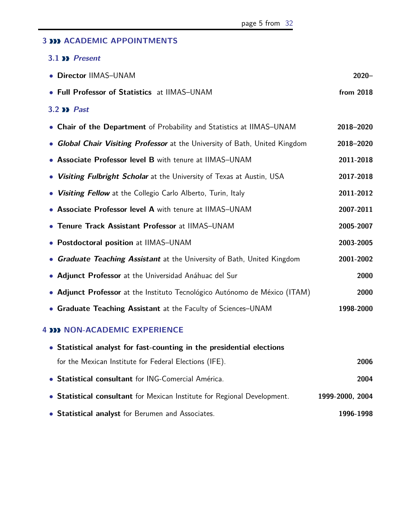#### <span id="page-4-0"></span>**3 ACADEMIC APPOINTMENTS**

#### <span id="page-4-1"></span>**3.1 Present**

<span id="page-4-2"></span>

| • Director IIMAS-UNAM                                                       | $2020 -$  |
|-----------------------------------------------------------------------------|-----------|
| • Full Professor of Statistics at IIMAS-UNAM                                | from 2018 |
| <b>3.2 &gt;&gt; Past</b>                                                    |           |
| • Chair of the Department of Probability and Statistics at IIMAS-UNAM       | 2018-2020 |
| • Global Chair Visiting Professor at the University of Bath, United Kingdom | 2018-2020 |
| • Associate Professor level B with tenure at IIMAS-UNAM                     | 2011-2018 |
| • Visiting Fulbright Scholar at the University of Texas at Austin, USA      | 2017-2018 |
| • Visiting Fellow at the Collegio Carlo Alberto, Turin, Italy               | 2011-2012 |
| • Associate Professor level A with tenure at IIMAS-UNAM                     | 2007-2011 |
| • Tenure Track Assistant Professor at IIMAS-UNAM                            | 2005-2007 |
| • Postdoctoral position at IIMAS-UNAM                                       | 2003-2005 |
| • Graduate Teaching Assistant at the University of Bath, United Kingdom     | 2001-2002 |
| • Adjunct Professor at the Universidad Anáhuac del Sur                      | 2000      |
| • Adjunct Professor at the Instituto Tecnológico Autónomo de México (ITAM)  | 2000      |
| • Graduate Teaching Assistant at the Faculty of Sciences-UNAM               | 1998-2000 |

#### <span id="page-4-3"></span>**4 NON-ACADEMIC EXPERIENCE**

| • Statistical analyst for fast-counting in the presidential elections    |                 |
|--------------------------------------------------------------------------|-----------------|
| for the Mexican Institute for Federal Elections (IFE).                   | 2006            |
| • Statistical consultant for ING-Comercial América.                      | 2004            |
| • Statistical consultant for Mexican Institute for Regional Development. | 1999-2000, 2004 |
| • Statistical analyst for Berumen and Associates.                        | 1996-1998       |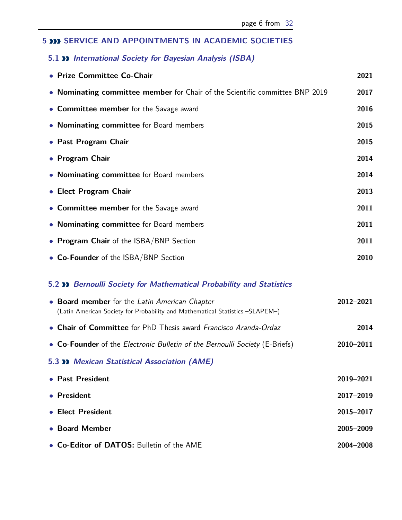## <span id="page-5-0"></span>**5 SERVICE AND APPOINTMENTS IN ACADEMIC SOCIETIES**

#### <span id="page-5-1"></span>**5.1 International Society for Bayesian Analysis (ISBA)**

| • Prize Committee Co-Chair                                                   | 2021 |
|------------------------------------------------------------------------------|------|
| • Nominating committee member for Chair of the Scientific committee BNP 2019 | 2017 |
| • Committee member for the Savage award                                      | 2016 |
| • Nominating committee for Board members                                     | 2015 |
| • Past Program Chair                                                         | 2015 |
| • Program Chair                                                              | 2014 |
| • Nominating committee for Board members                                     | 2014 |
| • Elect Program Chair                                                        | 2013 |
| • Committee member for the Savage award                                      | 2011 |
| • Nominating committee for Board members                                     | 2011 |
| • Program Chair of the ISBA/BNP Section                                      | 2011 |
| • Co-Founder of the ISBA/BNP Section                                         | 2010 |

#### <span id="page-5-2"></span>**5.2 Bernoulli Society for Mathematical Probability and Statistics**

<span id="page-5-4"></span><span id="page-5-3"></span>

| • Board member for the Latin American Chapter<br>(Latin American Society for Probability and Mathematical Statistics -SLAPEM-) | 2012-2021 |  |
|--------------------------------------------------------------------------------------------------------------------------------|-----------|--|
| • Chair of Committee for PhD Thesis award Francisco Aranda-Ordaz                                                               | 2014      |  |
| • Co-Founder of the Electronic Bulletin of the Bernoulli Society (E-Briefs)                                                    | 2010-2011 |  |
| <b>5.3 &gt;&gt; Mexican Statistical Association (AME)</b>                                                                      |           |  |
| • Past President                                                                                                               | 2019-2021 |  |
| • President                                                                                                                    | 2017-2019 |  |
| • Elect President                                                                                                              | 2015-2017 |  |
| • Board Member                                                                                                                 | 2005-2009 |  |
| • Co-Editor of DATOS: Bulletin of the AME                                                                                      | 2004-2008 |  |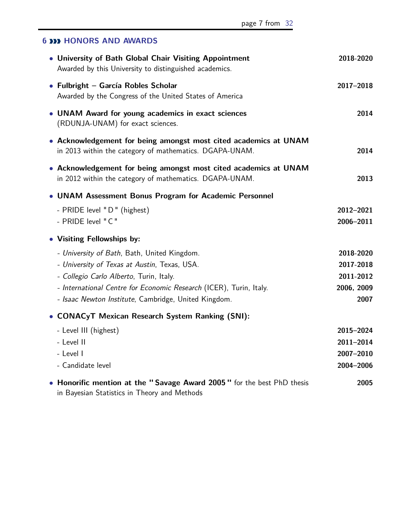## **6 HONORS AND AWARDS**

| • University of Bath Global Chair Visiting Appointment<br>Awarded by this University to distinguished academics.            | 2018-2020  |
|-----------------------------------------------------------------------------------------------------------------------------|------------|
| • Fulbright - García Robles Scholar<br>Awarded by the Congress of the United States of America                              | 2017-2018  |
| • UNAM Award for young academics in exact sciences<br>(RDUNJA-UNAM) for exact sciences.                                     | 2014       |
| • Acknowledgement for being amongst most cited academics at UNAM<br>in 2013 within the category of mathematics. DGAPA-UNAM. | 2014       |
| • Acknowledgement for being amongst most cited academics at UNAM<br>in 2012 within the category of mathematics. DGAPA-UNAM. | 2013       |
| • UNAM Assessment Bonus Program for Academic Personnel                                                                      |            |
| - PRIDE level "D" (highest)                                                                                                 | 2012-2021  |
| - PRIDE level "C"                                                                                                           | 2006-2011  |
| • Visiting Fellowships by:                                                                                                  |            |
| - University of Bath, Bath, United Kingdom.                                                                                 | 2018-2020  |
| - University of Texas at Austin, Texas, USA.                                                                                | 2017-2018  |
| - Collegio Carlo Alberto, Turin, Italy.                                                                                     | 2011-2012  |
| - International Centre for Economic Research (ICER), Turin, Italy.                                                          | 2006, 2009 |
| - Isaac Newton Institute, Cambridge, United Kingdom.                                                                        | 2007       |
| • CONACyT Mexican Research System Ranking (SNI):                                                                            |            |
| - Level III (highest)                                                                                                       | 2015-2024  |
| - Level II                                                                                                                  | 2011-2014  |
| - Level I                                                                                                                   | 2007-2010  |
| - Candidate level                                                                                                           | 2004-2006  |
| • Honorific mention at the "Savage Award 2005" for the best PhD thesis                                                      | 2005       |

<span id="page-6-0"></span>in Bayesian Statistics in Theory and Methods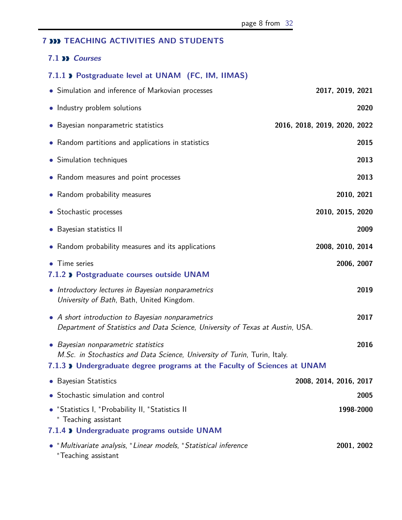## **7 NO** TEACHING ACTIVITIES AND STUDENTS

#### <span id="page-7-0"></span>**7.1 Courses**

### <span id="page-7-1"></span>**7.1.1 Postgraduate level at UNAM (FC, IM, IIMAS)**

<span id="page-7-4"></span><span id="page-7-3"></span><span id="page-7-2"></span>

| • Simulation and inference of Markovian processes                                                                                                                                            | 2017, 2019, 2021             |
|----------------------------------------------------------------------------------------------------------------------------------------------------------------------------------------------|------------------------------|
| • Industry problem solutions                                                                                                                                                                 | 2020                         |
| • Bayesian nonparametric statistics                                                                                                                                                          | 2016, 2018, 2019, 2020, 2022 |
| • Random partitions and applications in statistics                                                                                                                                           | 2015                         |
| • Simulation techniques                                                                                                                                                                      | 2013                         |
| • Random measures and point processes                                                                                                                                                        | 2013                         |
| • Random probability measures                                                                                                                                                                | 2010, 2021                   |
| • Stochastic processes                                                                                                                                                                       | 2010, 2015, 2020             |
| • Bayesian statistics II                                                                                                                                                                     | 2009                         |
| • Random probability measures and its applications                                                                                                                                           | 2008, 2010, 2014             |
| • Time series<br>7.1.2 > Postgraduate courses outside UNAM                                                                                                                                   | 2006, 2007                   |
| • Introductory lectures in Bayesian nonparametrics<br>University of Bath, Bath, United Kingdom.                                                                                              | 2019                         |
| • A short introduction to Bayesian nonparametrics<br>Department of Statistics and Data Science, University of Texas at Austin, USA.                                                          | 2017                         |
| • Bayesian nonparametric statistics<br>M.Sc. in Stochastics and Data Science, University of Turin, Turin, Italy.<br>7.1.3 > Undergraduate degree programs at the Faculty of Sciences at UNAM | 2016                         |
| • Bayesian Statistics                                                                                                                                                                        | 2008, 2014, 2016, 2017       |
| • Stochastic simulation and control                                                                                                                                                          | 2005                         |
| • *Statistics I, *Probability II, *Statistics II<br>* Teaching assistant                                                                                                                     | 1998-2000                    |
| 7.1.4 > Undergraduate programs outside UNAM                                                                                                                                                  |                              |
| • *Multivariate analysis, *Linear models, *Statistical inference<br>*Teaching assistant                                                                                                      | 2001, 2002                   |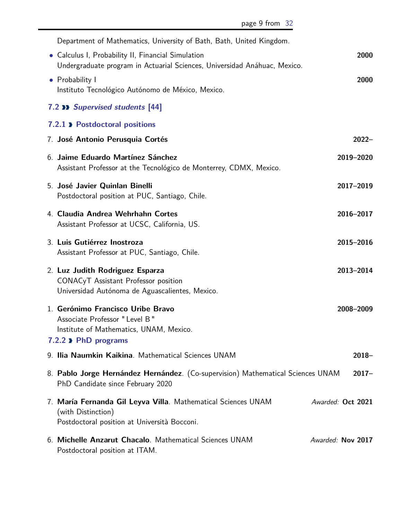<span id="page-8-2"></span><span id="page-8-1"></span><span id="page-8-0"></span>

| Department of Mathematics, University of Bath, Bath, United Kingdom.                                                                    |                   |
|-----------------------------------------------------------------------------------------------------------------------------------------|-------------------|
| • Calculus I, Probability II, Financial Simulation<br>Undergraduate program in Actuarial Sciences, Universidad Anáhuac, Mexico.         | 2000              |
| • Probability I<br>Instituto Tecnológico Autónomo de México, Mexico.                                                                    | 2000              |
| <b>7.2 &gt;&gt; Supervised students [44]</b>                                                                                            |                   |
| 7.2.1 > Postdoctoral positions                                                                                                          |                   |
| 7. José Antonio Perusquia Cortés                                                                                                        | $2022 -$          |
| 6. Jaime Eduardo Martínez Sánchez<br>Assistant Professor at the Tecnológico de Monterrey, CDMX, Mexico.                                 | 2019-2020         |
| 5. José Javier Quinlan Binelli<br>Postdoctoral position at PUC, Santiago, Chile.                                                        | 2017-2019         |
| 4. Claudia Andrea Wehrhahn Cortes<br>Assistant Professor at UCSC, California, US.                                                       | 2016-2017         |
| 3. Luis Gutiérrez Inostroza<br>Assistant Professor at PUC, Santiago, Chile.                                                             | 2015-2016         |
| 2. Luz Judith Rodriguez Esparza<br>CONACyT Assistant Professor position<br>Universidad Autónoma de Aguascalientes, Mexico.              | 2013-2014         |
| 1. Gerónimo Francisco Uribe Bravo<br>Associate Professor " Level B "<br>Institute of Mathematics, UNAM, Mexico.<br>7.2.2 > PhD programs | 2008-2009         |
| 9. Ilia Naumkin Kaikina. Mathematical Sciences UNAM                                                                                     | $2018 -$          |
| 8. Pablo Jorge Hernández Hernández. (Co-supervision) Mathematical Sciences UNAM<br>PhD Candidate since February 2020                    | $2017 -$          |
| 7. María Fernanda Gil Leyva Villa. Mathematical Sciences UNAM<br>(with Distinction)<br>Postdoctoral position at Università Bocconi.     | Awarded: Oct 2021 |
| 6. Michelle Anzarut Chacalo. Mathematical Sciences UNAM<br>Postdoctoral position at ITAM.                                               | Awarded: Nov 2017 |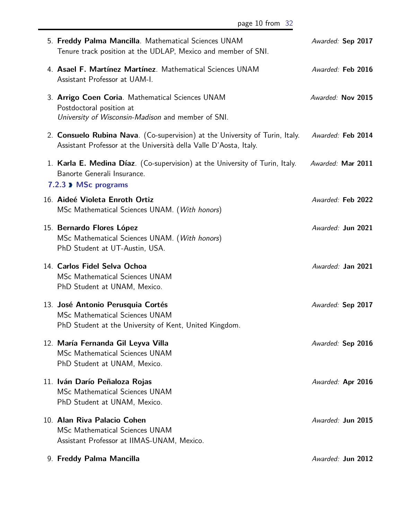<span id="page-9-0"></span>

| 5. Freddy Palma Mancilla. Mathematical Sciences UNAM<br>Tenure track position at the UDLAP, Mexico and member of SNI.                             | Awarded: Sep 2017 |  |
|---------------------------------------------------------------------------------------------------------------------------------------------------|-------------------|--|
| 4. Asael F. Martínez Martínez. Mathematical Sciences UNAM<br>Assistant Professor at UAM-I.                                                        | Awarded: Feb 2016 |  |
| 3. Arrigo Coen Coria. Mathematical Sciences UNAM<br>Postdoctoral position at<br>University of Wisconsin-Madison and member of SNI.                | Awarded: Nov 2015 |  |
| 2. Consuelo Rubina Nava. (Co-supervision) at the University of Turin, Italy.<br>Assistant Professor at the Università della Valle D'Aosta, Italy. | Awarded: Feb 2014 |  |
| 1. Karla E. Medina Díaz. (Co-supervision) at the University of Turin, Italy.<br>Banorte Generali Insurance.<br>7.2.3 MSc programs                 | Awarded: Mar 2011 |  |
| 16. Aideé Violeta Enroth Ortiz<br>MSc Mathematical Sciences UNAM. (With honors)                                                                   | Awarded: Feb 2022 |  |
| 15. Bernardo Flores López<br>MSc Mathematical Sciences UNAM. (With honors)<br>PhD Student at UT-Austin, USA.                                      | Awarded: Jun 2021 |  |
| 14. Carlos Fidel Selva Ochoa<br><b>MSc Mathematical Sciences UNAM</b><br>PhD Student at UNAM, Mexico.                                             | Awarded: Jan 2021 |  |
| 13. José Antonio Perusquia Cortés<br>MSc Mathematical Sciences UNAM<br>PhD Student at the University of Kent, United Kingdom.                     | Awarded: Sep 2017 |  |
| 12. María Fernanda Gil Leyva Villa<br>MSc Mathematical Sciences UNAM<br>PhD Student at UNAM, Mexico.                                              | Awarded: Sep 2016 |  |
| 11. Iván Darío Peñaloza Rojas<br>MSc Mathematical Sciences UNAM<br>PhD Student at UNAM, Mexico.                                                   | Awarded: Apr 2016 |  |
| 10. Alan Riva Palacio Cohen<br><b>MSc Mathematical Sciences UNAM</b><br>Assistant Professor at IIMAS-UNAM, Mexico.                                | Awarded: Jun 2015 |  |
| 9. Freddy Palma Mancilla                                                                                                                          | Awarded: Jun 2012 |  |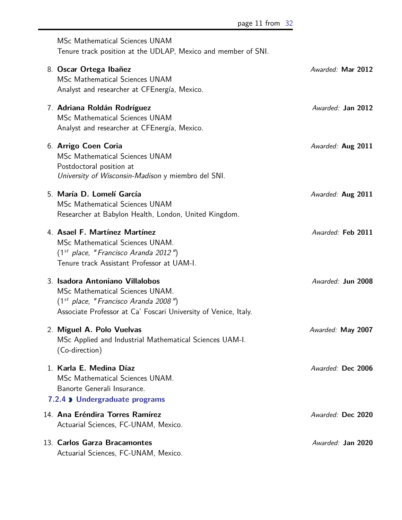<span id="page-10-0"></span>

| MSc Mathematical Sciences UNAM<br>Tenure track position at the UDLAP, Mexico and member of SNI.                                                                                 |                   |
|---------------------------------------------------------------------------------------------------------------------------------------------------------------------------------|-------------------|
| 8. Oscar Ortega Ibañez<br>MSc Mathematical Sciences UNAM<br>Analyst and researcher at CFEnergía, Mexico.                                                                        | Awarded: Mar 2012 |
| 7. Adriana Roldán Rodríguez<br><b>MSc Mathematical Sciences UNAM</b><br>Analyst and researcher at CFEnergía, Mexico.                                                            | Awarded: Jan 2012 |
| 6. Arrigo Coen Coria<br><b>MSc Mathematical Sciences UNAM</b><br>Postdoctoral position at<br>University of Wisconsin-Madison y miembro del SNI.                                 | Awarded: Aug 2011 |
| 5. María D. Lomelí García<br><b>MSc Mathematical Sciences UNAM</b><br>Researcher at Babylon Health, London, United Kingdom.                                                     | Awarded: Aug 2011 |
| 4. Asael F. Martínez Martínez<br>MSc Mathematical Sciences UNAM.<br>$(1st$ place, "Francisco Aranda 2012")<br>Tenure track Assistant Professor at UAM-I.                        | Awarded: Feb 2011 |
| 3. Isadora Antoniano Villalobos<br>MSc Mathematical Sciences UNAM.<br>$(1st$ place, "Francisco Aranda 2008")<br>Associate Professor at Ca' Foscari University of Venice, Italy. | Awarded: Jun 2008 |
| 2. Miguel A. Polo Vuelvas<br>MSc Applied and Industrial Mathematical Sciences UAM-I.<br>(Co-direction)                                                                          | Awarded: May 2007 |
| 1. Karla E. Medina Díaz<br>MSc Mathematical Sciences UNAM.<br>Banorte Generali Insurance.<br>7.2.4 > Undergraduate programs                                                     | Awarded: Dec 2006 |
| 14. Ana Eréndira Torres Ramírez<br>Actuarial Sciences, FC-UNAM, Mexico.                                                                                                         | Awarded: Dec 2020 |
| 13. Carlos Garza Bracamontes<br>Actuarial Sciences, FC-UNAM, Mexico.                                                                                                            | Awarded: Jan 2020 |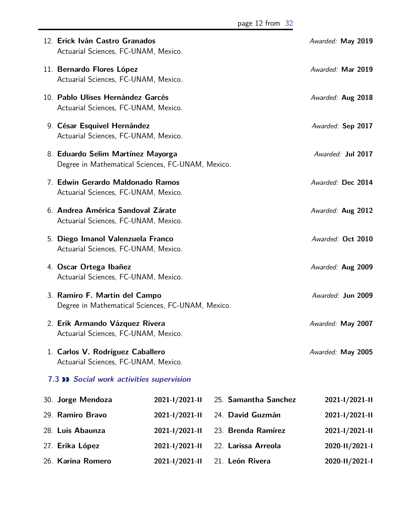<span id="page-11-0"></span>

| 12. Erick Iván Castro Granados<br>Actuarial Sciences, FC-UNAM, Mexico.                 |                |  |                      | Awarded: May 2019 |
|----------------------------------------------------------------------------------------|----------------|--|----------------------|-------------------|
| 11. Bernardo Flores López<br>Actuarial Sciences, FC-UNAM, Mexico.                      |                |  |                      | Awarded: Mar 2019 |
| 10. Pablo Ulises Hernández Garcés<br>Actuarial Sciences, FC-UNAM, Mexico.              |                |  |                      | Awarded: Aug 2018 |
| 9. César Esquivel Hernández<br>Actuarial Sciences, FC-UNAM, Mexico.                    |                |  |                      | Awarded: Sep 2017 |
| 8. Eduardo Selim Martínez Mayorga<br>Degree in Mathematical Sciences, FC-UNAM, Mexico. |                |  |                      | Awarded: Jul 2017 |
| 7. Edwin Gerardo Maldonado Ramos<br>Actuarial Sciences, FC-UNAM, Mexico.               |                |  |                      | Awarded: Dec 2014 |
| 6. Andrea América Sandoval Zárate<br>Actuarial Sciences, FC-UNAM, Mexico.              |                |  |                      | Awarded: Aug 2012 |
| 5. Diego Imanol Valenzuela Franco<br>Actuarial Sciences, FC-UNAM, Mexico.              |                |  |                      | Awarded: Oct 2010 |
| 4. Oscar Ortega Ibañez<br>Actuarial Sciences, FC-UNAM, Mexico.                         |                |  | Awarded: Aug 2009    |                   |
| 3. Ramiro F. Martin del Campo<br>Degree in Mathematical Sciences, FC-UNAM, Mexico.     |                |  | Awarded: Jun 2009    |                   |
| 2. Erik Armando Vázquez Rivera<br>Actuarial Sciences, FC-UNAM, Mexico.                 |                |  |                      | Awarded: May 2007 |
| 1. Carlos V. Rodríguez Caballero<br>Actuarial Sciences, FC-UNAM, Mexico.               |                |  |                      | Awarded: May 2005 |
| <b>7.3 &gt;&gt; Social work activities supervision</b>                                 |                |  |                      |                   |
| 30. Jorge Mendoza                                                                      | 2021-1/2021-11 |  | 25. Samantha Sanchez | 2021-1/2021-11    |
| 29. Ramiro Bravo                                                                       | 2021-1/2021-11 |  | 24. David Guzmán     | 2021-1/2021-11    |
| 28. Luis Abaunza                                                                       | 2021-1/2021-11 |  | 23. Brenda Ramírez   | 2021-1/2021-11    |
| 27. Erika López                                                                        | 2021-1/2021-11 |  | 22. Larissa Arreola  | 2020-11/2021-1    |
| 26. Karina Romero                                                                      | 2021-1/2021-11 |  | 21. León Rivera      | 2020-11/2021-1    |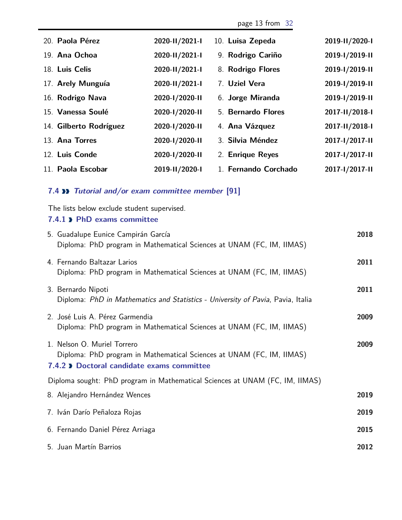page 13 from [32](#page-31-0)

| 20. Paola Pérez        | 2020-11/2021-1 | 10. Luisa Zepeda     | 2019-11/2020-1 |
|------------------------|----------------|----------------------|----------------|
| 19. Ana Ochoa          | 2020-II/2021-I | 9. Rodrigo Cariño    | 2019-1/2019-11 |
| 18. Luis Celis         | 2020-11/2021-1 | 8. Rodrigo Flores    | 2019-1/2019-11 |
| 17. Arely Munguía      | 2020-11/2021-1 | 7. Uziel Vera        | 2019-1/2019-11 |
| 16. Rodrigo Nava       | 2020-1/2020-11 | 6. Jorge Miranda     | 2019-1/2019-11 |
| 15. Vanessa Soulé      | 2020-1/2020-11 | 5. Bernardo Flores   | 2017-11/2018-1 |
| 14. Gilberto Rodríguez | 2020-1/2020-11 | 4. Ana Vázquez       | 2017-11/2018-1 |
| 13. Ana Torres         | 2020-1/2020-11 | 3. Silvia Méndez     | 2017-1/2017-11 |
| 12. Luis Conde         | 2020-1/2020-11 | 2. Enrique Reyes     | 2017-1/2017-11 |
| 11. Paola Escobar      | 2019-11/2020-1 | 1. Fernando Corchado | 2017-1/2017-11 |

## <span id="page-12-0"></span>**7.4 Tutorial and/or exam committee member [91]**

The lists below exclude student supervised.

#### <span id="page-12-1"></span>**7.4.1 PhD exams committee**

<span id="page-12-2"></span>

| 5. Guadalupe Eunice Campirán García<br>Diploma: PhD program in Mathematical Sciences at UNAM (FC, IM, IIMAS)                                       | 2018 |
|----------------------------------------------------------------------------------------------------------------------------------------------------|------|
| 4. Fernando Baltazar Larios<br>Diploma: PhD program in Mathematical Sciences at UNAM (FC, IM, IIMAS)                                               | 2011 |
| 3. Bernardo Nipoti<br>Diploma: PhD in Mathematics and Statistics - University of Pavia, Pavia, Italia                                              | 2011 |
| 2. José Luis A. Pérez Garmendia<br>Diploma: PhD program in Mathematical Sciences at UNAM (FC, IM, IIMAS)                                           | 2009 |
| 1. Nelson O. Muriel Torrero<br>Diploma: PhD program in Mathematical Sciences at UNAM (FC, IM, IIMAS)<br>7.4.2 > Doctoral candidate exams committee | 2009 |
| Diploma sought: PhD program in Mathematical Sciences at UNAM (FC, IM, IIMAS)                                                                       |      |
| 8. Alejandro Hernández Wences                                                                                                                      | 2019 |
| 7. Iván Darío Peñaloza Rojas                                                                                                                       | 2019 |
| 6. Fernando Daniel Pérez Arriaga                                                                                                                   | 2015 |
| 5. Juan Martín Barrios                                                                                                                             | 2012 |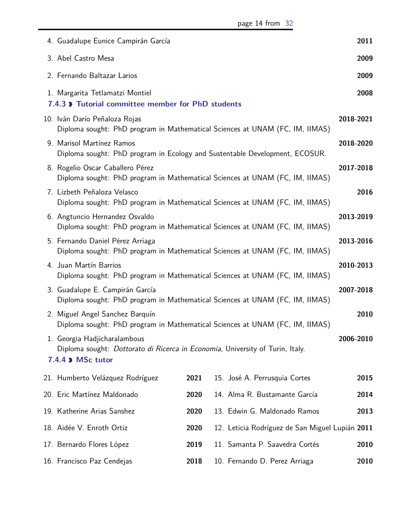<span id="page-13-1"></span><span id="page-13-0"></span>

| 4. Guadalupe Eunice Campirán García                                                                                                |      |                                                 | 2011      |
|------------------------------------------------------------------------------------------------------------------------------------|------|-------------------------------------------------|-----------|
| 3. Abel Castro Mesa                                                                                                                |      |                                                 | 2009      |
| 2. Fernando Baltazar Larios                                                                                                        |      |                                                 | 2009      |
| 1. Margarita Tetlamatzi Montiel<br>7.4.3 > Tutorial committee member for PhD students                                              |      |                                                 | 2008      |
| 10. Iván Darío Peñaloza Rojas<br>Diploma sought: PhD program in Mathematical Sciences at UNAM (FC, IM, IIMAS)                      |      |                                                 | 2018-2021 |
| 9. Marisol Martínez Ramos<br>Diploma sought: PhD program in Ecology and Sustentable Development, ECOSUR.                           |      |                                                 | 2018-2020 |
| 8. Rogelio Oscar Caballero Pérez<br>Diploma sought: PhD program in Mathematical Sciences at UNAM (FC, IM, IIMAS)                   |      |                                                 | 2017-2018 |
| 7. Lizbeth Peñaloza Velasco<br>Diploma sought: PhD program in Mathematical Sciences at UNAM (FC, IM, IIMAS)                        |      |                                                 | 2016      |
| 6. Angtuncio Hernandez Osvaldo<br>Diploma sought: PhD program in Mathematical Sciences at UNAM (FC, IM, IIMAS)                     |      |                                                 | 2013-2019 |
| 5. Fernando Daniel Pérez Arriaga<br>Diploma sought: PhD program in Mathematical Sciences at UNAM (FC, IM, IIMAS)                   |      |                                                 | 2013-2016 |
| 4. Juan Martín Barrios<br>Diploma sought: PhD program in Mathematical Sciences at UNAM (FC, IM, IIMAS)                             |      |                                                 | 2010-2013 |
| 3. Guadalupe E. Campirán García<br>Diploma sought: PhD program in Mathematical Sciences at UNAM (FC, IM, IIMAS)                    |      |                                                 | 2007-2018 |
| 2. Miguel Angel Sanchez Barquín<br>Diploma sought: PhD program in Mathematical Sciences at UNAM (FC, IM, IIMAS)                    |      |                                                 | 2010      |
| 1. Georgia Hadjicharalambous<br>Diploma sought: Dottorato di Ricerca in Economia, University of Turin, Italy.<br>7.4.4 > MSc tutor |      |                                                 | 2006-2010 |
| 21. Humberto Velázquez Rodríguez                                                                                                   | 2021 | 15. José A. Perrusquia Cortes                   | 2015      |
| 20. Eric Martínez Maldonado                                                                                                        | 2020 | 14. Alma R. Bustamante García                   | 2014      |
| 19. Katherine Arias Sanshez                                                                                                        | 2020 | 13. Edwin G. Maldonado Ramos                    | 2013      |
| 18. Aidée V. Enroth Ortiz                                                                                                          | 2020 | 12. Leticia Rodríguez de San Miguel Lupián 2011 |           |
| 17. Bernardo Flores López                                                                                                          | 2019 | 11. Samanta P. Saavedra Cortés                  | 2010      |
| 16. Francisco Paz Cendejas                                                                                                         | 2018 | 10. Fernando D. Perez Arriaga                   | 2010      |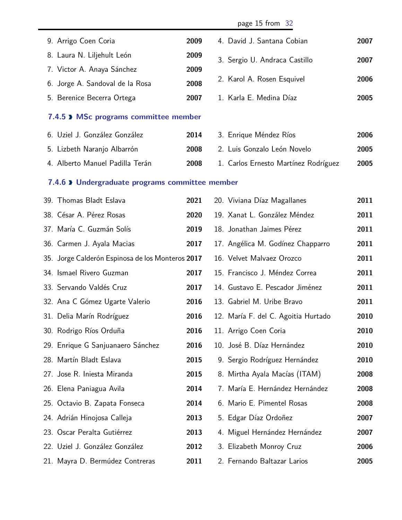<span id="page-14-1"></span><span id="page-14-0"></span>

|                                                  |      | page 15 from 32                      |      |
|--------------------------------------------------|------|--------------------------------------|------|
| 9. Arrigo Coen Coria                             | 2009 | 4. David J. Santana Cobian           | 2007 |
| 8. Laura N. Liljehult León                       | 2009 | 3. Sergio U. Andraca Castillo        | 2007 |
| 7. Victor A. Anaya Sánchez                       | 2009 |                                      |      |
| 6. Jorge A. Sandoval de la Rosa                  | 2008 | 2. Karol A. Rosen Esquivel           | 2006 |
| 5. Berenice Becerra Ortega                       | 2007 | 1. Karla E. Medina Díaz              | 2005 |
| 7.4.5 > MSc programs committee member            |      |                                      |      |
| 6. Uziel J. González González                    | 2014 | 3. Enrique Méndez Ríos               | 2006 |
| 5. Lizbeth Naranjo Albarrón                      | 2008 | 2. Luis Gonzalo León Novelo          | 2005 |
| 4. Alberto Manuel Padilla Terán                  | 2008 | 1. Carlos Ernesto Martínez Rodríguez | 2005 |
| 7.4.6 > Undergraduate programs committee member  |      |                                      |      |
| 39. Thomas Bladt Eslava                          | 2021 | 20. Viviana Díaz Magallanes          | 2011 |
| 38. César A. Pérez Rosas                         | 2020 | 19. Xanat L. González Méndez         | 2011 |
| 37. María C. Guzmán Solís                        | 2019 | 18. Jonathan Jaimes Pérez            | 2011 |
| 36. Carmen J. Ayala Macias                       | 2017 | 17. Angélica M. Godínez Chapparro    | 2011 |
| 35. Jorge Calderón Espinosa de los Monteros 2017 |      | 16. Velvet Malvaez Orozco            | 2011 |
| 34. Ismael Rivero Guzman                         | 2017 | 15. Francisco J. Méndez Correa       | 2011 |
| 33. Servando Valdés Cruz                         | 2017 | 14. Gustavo E. Pescador Jiménez      | 2011 |
| 32. Ana C Gómez Ugarte Valerio                   | 2016 | 13. Gabriel M. Uribe Bravo           | 2011 |
| 31. Delia Marín Rodríguez                        | 2016 | 12. María F. del C. Agoitia Hurtado  | 2010 |
| 30. Rodrigo Ríos Orduña                          | 2016 | 11. Arrigo Coen Coria                | 2010 |
| 29. Enrique G Sanjuanaero Sánchez                | 2016 | 10. José B. Díaz Hernández           | 2010 |
| 28. Martín Bladt Eslava                          | 2015 | 9. Sergio Rodríguez Hernández        | 2010 |
| 27. Jose R. Iniesta Miranda                      | 2015 | 8. Mirtha Ayala Macías (ITAM)        | 2008 |
| 26. Elena Paniagua Avila                         | 2014 | 7. María E. Hernández Hernández      | 2008 |
| 25. Octavio B. Zapata Fonseca                    | 2014 | 6. Mario E. Pimentel Rosas           | 2008 |
| 24. Adrián Hinojosa Calleja                      | 2013 | 5. Edgar Díaz Ordoñez                | 2007 |
| 23. Oscar Peralta Gutiérrez                      | 2013 | 4. Miguel Hernández Hernández        | 2007 |
| 22. Uziel J. González González                   | 2012 | 3. Elizabeth Monroy Cruz             | 2006 |
| 21. Mayra D. Bermúdez Contreras                  | 2011 | 2. Fernando Baltazar Larios          | 2005 |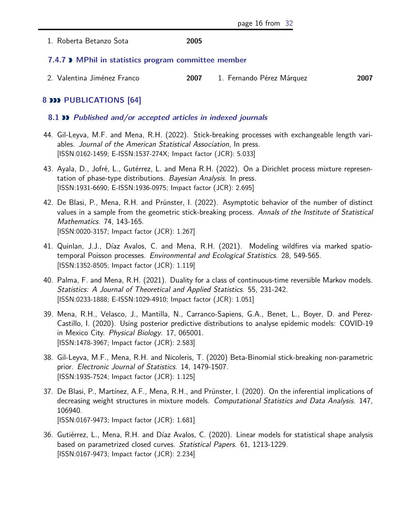1. Roberta Betanzo Sota **2005**

#### <span id="page-15-0"></span>**7.4.7 MPhil in statistics program committee member**

2. Valentina Jiménez Franco **2007** 1. Fernando Pérez Márquez **2007**

#### <span id="page-15-1"></span>**8 PUBLICATIONS [64]**

#### <span id="page-15-2"></span>**8.1 Published and/or accepted articles in indexed journals**

- 44. Gil-Leyva, M.F. and Mena, R.H. (2022). Stick-breaking processes with exchangeable length variables. Journal of the American Statistical Association, In press. [ISSN:0162-1459; E-ISSN:1537-274X; Impact factor (JCR): 5.033]
- 43. Ayala, D., Jofré, L., Gutérrez, L. and Mena R.H. (2022). On a Dirichlet process mixture representation of phase-type distributions. Bayesian Analysis. In press. [ISSN:1931-6690; E-ISSN:1936-0975; Impact factor (JCR): 2.695]
- 42. De Blasi, P., Mena, R.H. and Prünster, I. (2022). Asymptotic behavior of the number of distinct values in a sample from the geometric stick-breaking process. Annals of the Institute of Statistical Mathematics. 74, 143-165. [ISSN:0020-3157; Impact factor (JCR): 1.267]
- 41. Quinlan, J.J., Díaz Avalos, C. and Mena, R.H. (2021). Modeling wildfires via marked spatiotemporal Poisson processes. Environmental and Ecological Statistics. 28, 549-565. [ISSN:1352-8505; Impact factor (JCR): 1.119]
- 40. Palma, F. and Mena, R.H. (2021). Duality for a class of continuous-time reversible Markov models. Statistics: A Journal of Theoretical and Applied Statistics. 55, 231-242. [ISSN:0233-1888; E-ISSN:1029-4910; Impact factor (JCR): 1.051]
- 39. Mena, R.H., Velasco, J., Mantilla, N., Carranco-Sapiens, G.A., Benet, L., Boyer, D. and Perez-Castillo, I. (2020). Using posterior predictive distributions to analyse epidemic models: COVID-19 in Mexico City. Physical Biology. 17, 065001. [ISSN:1478-3967; Impact factor (JCR): 2.583]
- 38. Gil-Leyva, M.F., Mena, R.H. and Nicoleris, T. (2020) Beta-Binomial stick-breaking non-parametric prior. Electronic Journal of Statistics. 14, 1479-1507. [ISSN:1935-7524; Impact factor (JCR): 1.125]
- 37. De Blasi, P., Martínez, A.F., Mena, R.H., and Prünster, I. (2020). On the inferential implications of decreasing weight structures in mixture models. Computational Statistics and Data Analysis. 147, 106940. [ISSN:0167-9473; Impact factor (JCR): 1.681]
- 36. Gutiérrez, L., Mena, R.H. and Díaz Avalos, C. (2020). Linear models for statistical shape analysis based on parametrized closed curves. Statistical Papers. 61, 1213-1229. [ISSN:0167-9473; Impact factor (JCR): 2.234]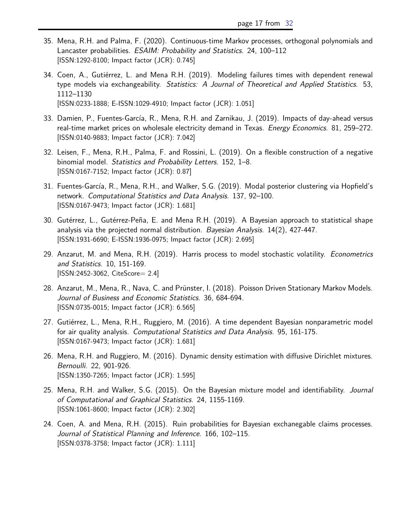- 35. Mena, R.H. and Palma, F. (2020). Continuous-time Markov processes, orthogonal polynomials and Lancaster probabilities. ESAIM: Probability and Statistics. 24, 100-112 [ISSN:1292-8100; Impact factor (JCR): 0.745]
- 34. Coen, A., Gutiérrez, L. and Mena R.H. (2019). Modeling failures times with dependent renewal type models via exchangeability. Statistics: A Journal of Theoretical and Applied Statistics. 53, 1112–1130 [ISSN:0233-1888; E-ISSN:1029-4910; Impact factor (JCR): 1.051]
- 33. Damien, P., Fuentes-García, R., Mena, R.H. and Zarnikau, J. (2019). Impacts of day-ahead versus real-time market prices on wholesale electricity demand in Texas. *Energy Economics*. 81, 259–272. [ISSN:0140-9883; Impact factor (JCR): 7.042]
- 32. Leisen, F., Mena, R.H., Palma, F. and Rossini, L. (2019). On a flexible construction of a negative binomial model. Statistics and Probability Letters. 152, 1-8. [ISSN:0167-7152; Impact factor (JCR): 0.87]
- 31. Fuentes-García, R., Mena, R.H., and Walker, S.G. (2019). Modal posterior clustering via Hopfield's network. Computational Statistics and Data Analysis. 137, 92–100. [ISSN:0167-9473; Impact factor (JCR): 1.681]
- 30. Gutérrez, L., Gutérrez-Peña, E. and Mena R.H. (2019). A Bayesian approach to statistical shape analysis via the projected normal distribution. Bayesian Analysis. 14(2), 427-447. [ISSN:1931-6690; E-ISSN:1936-0975; Impact factor (JCR): 2.695]
- 29. Anzarut, M. and Mena, R.H. (2019). Harris process to model stochastic volatility. *Econometrics* and Statistics. 10, 151-169. [ISSN:2452-3062, CiteScore= 2.4]
- 28. Anzarut, M., Mena, R., Nava, C. and Prünster, I. (2018). Poisson Driven Stationary Markov Models. Journal of Business and Economic Statistics. 36, 684-694. [ISSN:0735-0015; Impact factor (JCR): 6.565]
- 27. Gutiérrez, L., Mena, R.H., Ruggiero, M. (2016). A time dependent Bayesian nonparametric model for air quality analysis. Computational Statistics and Data Analysis. 95, 161-175. [ISSN:0167-9473; Impact factor (JCR): 1.681]
- 26. Mena, R.H. and Ruggiero, M. (2016). Dynamic density estimation with diffusive Dirichlet mixtures. Bernoulli. 22, 901-926. [ISSN:1350-7265; Impact factor (JCR): 1.595]
- 25. Mena, R.H. and Walker, S.G. (2015). On the Bayesian mixture model and identifiability. Journal of Computational and Graphical Statistics. 24, 1155-1169. [ISSN:1061-8600; Impact factor (JCR): 2.302]
- 24. Coen, A. and Mena, R.H. (2015). Ruin probabilities for Bayesian exchanegable claims processes. Journal of Statistical Planning and Inference. 166, 102–115. [ISSN:0378-3758; Impact factor (JCR): 1.111]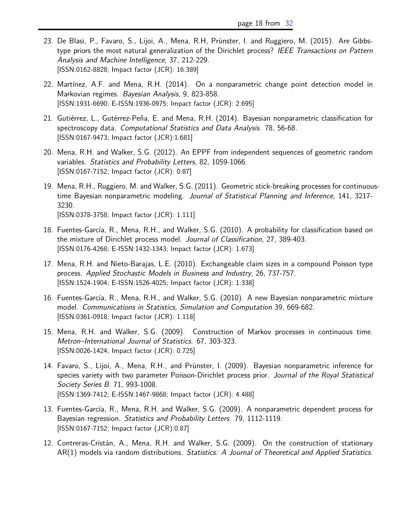- 23. De Blasi, P., Favaro, S., Lijoi, A., Mena, R.H, Prünster, I. and Ruggiero, M. (2015). Are Gibbstype priors the most natural generalization of the Dirichlet process? IEEE Transactions on Pattern Analysis and Machine Intelligence, 37, 212-229. [ISSN:0162-8828; Impact factor (JCR): 16.389]
- 22. Martínez, A.F. and Mena, R.H. (2014). On a nonparametric change point detection model in Markovian regimes. Bayesian Analysis, 9, 823-858. [ISSN:1931-6690; E-ISSN:1936-0975; Impact factor (JCR): 2.695]
- 21. Gutiérrez, L., Gutérrez-Peña, E. and Mena, R.H. (2014). Bayesian nonparametric classification for spectroscopy data. Computational Statistics and Data Analysis. 78, 56-68. [ISSN:0167-9473; Impact factor (JCR):1.681]
- 20. Mena, R.H. and Walker, S.G. (2012). An EPPF from independent sequences of geometric random variables. Statistics and Probability Letters, 82, 1059-1066. [ISSN:0167-7152; Impact factor (JCR): 0.87]
- 19. Mena, R.H., Ruggiero, M. and Walker, S.G. (2011). Geometric stick-breaking processes for continuoustime Bayesian nonparametric modeling. Journal of Statistical Planning and Inference, 141, 3217- 3230. [ISSN:0378-3758; Impact factor (JCR): 1.111]
- 18. Fuentes-García, R., Mena, R.H., and Walker, S.G. (2010). A probability for classification based on the mixture of Dirichlet process model. Journal of Classification, 27, 389-403. [ISSN:0176-4268; E-ISSN:1432-1343; Impact factor (JCR): 1.673]
- 17. Mena, R.H. and Nieto-Barajas, L.E. (2010). Exchangeable claim sizes in a compound Poisson type process. Applied Stochastic Models in Business and Industry, 26, 737-757. [ISSN:1524-1904; E-ISSN:1526-4025; Impact factor (JCR): 1.338]
- 16. Fuentes-García, R., Mena, R.H., and Walker, S.G. (2010). A new Bayesian nonparametric mixture model. Communications in Statistics, Simulation and Computation 39, 669-682. [ISSN:0361-0918; Impact factor (JCR): 1.118]
- 15. Mena, R.H. and Walker, S.G. (2009). Construction of Markov processes in continuous time. Metron–International Journal of Statistics. 67, 303-323. [ISSN:0026-1424; Impact factor (JCR): 0.725]
- 14. Favaro, S., Lijoi, A., Mena, R.H., and Prünster, I. (2009). Bayesian nonparametric inference for species variety with two parameter Poisson-Dirichlet process prior. Journal of the Royal Statistical Society Series B. 71, 993-1008. [ISSN:1369-7412; E-ISSN:1467-9868; Impact factor (JCR): 4.488]
- 13. Fuentes-García, R., Mena, R.H. and Walker, S.G. (2009). A nonparametric dependent process for Bayesian regression. Statistics and Probability Letters. 79, 1112-1119. [ISSN:0167-7152; Impact factor (JCR):0.87]
- 12. Contreras-Cristán, A., Mena, R.H. and Walker, S.G. (2009). On the construction of stationary AR(1) models via random distributions. Statistics: A Journal of Theoretical and Applied Statistics.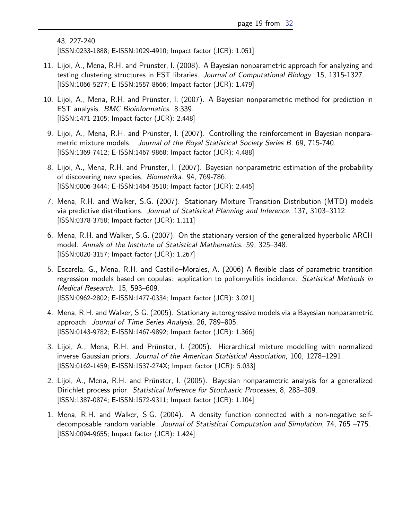```
43, 227-240.
```
[ISSN:0233-1888; E-ISSN:1029-4910; Impact factor (JCR): 1.051]

- 11. Lijoi, A., Mena, R.H. and Prünster, I. (2008). A Bayesian nonparametric approach for analyzing and testing clustering structures in EST libraries. Journal of Computational Biology. 15, 1315-1327. [ISSN:1066-5277; E-ISSN:1557-8666; Impact factor (JCR): 1.479]
- 10. Lijoi, A., Mena, R.H. and Prünster, I. (2007). A Bayesian nonparametric method for prediction in EST analysis. BMC Bioinformatics. 8:339. [ISSN:1471-2105; Impact factor (JCR): 2.448]
- 9. Lijoi, A., Mena, R.H. and Prünster, I. (2007). Controlling the reinforcement in Bayesian nonparametric mixture models. Journal of the Royal Statistical Society Series B. 69, 715-740. [ISSN:1369-7412; E-ISSN:1467-9868; Impact factor (JCR): 4.488]
- 8. Lijoi, A., Mena, R.H. and Prünster, I. (2007). Bayesian nonparametric estimation of the probability of discovering new species. Biometrika. 94, 769-786. [ISSN:0006-3444; E-ISSN:1464-3510; Impact factor (JCR): 2.445]
- 7. Mena, R.H. and Walker, S.G. (2007). Stationary Mixture Transition Distribution (MTD) models via predictive distributions. Journal of Statistical Planning and Inference. 137, 3103–3112. [ISSN:0378-3758; Impact factor (JCR): 1.111]
- 6. Mena, R.H. and Walker, S.G. (2007). On the stationary version of the generalized hyperbolic ARCH model. Annals of the Institute of Statistical Mathematics. 59, 325–348. [ISSN:0020-3157; Impact factor (JCR): 1.267]
- 5. Escarela, G., Mena, R.H. and Castillo–Morales, A. (2006) A flexible class of parametric transition regression models based on copulas: application to poliomyelitis incidence. Statistical Methods in Medical Research. 15, 593–609. [ISSN:0962-2802; E-ISSN:1477-0334; Impact factor (JCR): 3.021]
- 4. Mena, R.H. and Walker, S.G. (2005). Stationary autoregressive models via a Bayesian nonparametric approach. Journal of Time Series Analysis, 26, 789–805. [ISSN:0143-9782; E-ISSN:1467-9892; Impact factor (JCR): 1.366]
- 3. Lijoi, A., Mena, R.H. and Prünster, I. (2005). Hierarchical mixture modelling with normalized inverse Gaussian priors. Journal of the American Statistical Association, 100, 1278–1291. [ISSN:0162-1459; E-ISSN:1537-274X; Impact factor (JCR): 5.033]
- 2. Lijoi, A., Mena, R.H. and Prünster, I. (2005). Bayesian nonparametric analysis for a generalized Dirichlet process prior. Statistical Inference for Stochastic Processes, 8, 283–309. [ISSN:1387-0874; E-ISSN:1572-9311; Impact factor (JCR): 1.104]
- <span id="page-18-0"></span>1. Mena, R.H. and Walker, S.G. (2004). A density function connected with a non-negative selfdecomposable random variable. Journal of Statistical Computation and Simulation, 74, 765 –775. [ISSN:0094-9655; Impact factor (JCR): 1.424]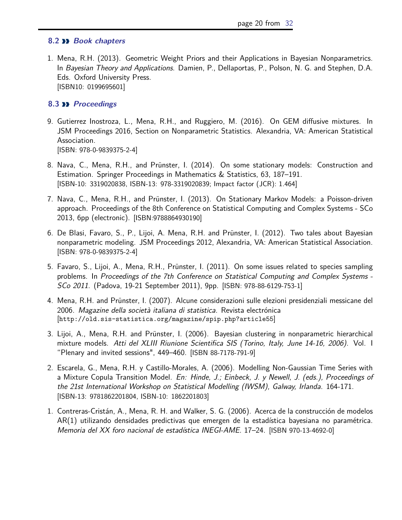#### **8.2 Book chapters**

1. Mena, R.H. (2013). Geometric Weight Priors and their Applications in Bayesian Nonparametrics. In Bayesian Theory and Applications. Damien, P., Dellaportas, P., Polson, N. G. and Stephen, D.A. Eds. Oxford University Press. [ISBN10: 0199695601]

#### <span id="page-19-0"></span>**8.3 Proceedings**

- 9. Gutierrez Inostroza, L., Mena, R.H., and Ruggiero, M. (2016). On GEM diffusive mixtures. In JSM Proceedings 2016, Section on Nonparametric Statistics. Alexandria, VA: American Statistical Association. [ISBN: 978-0-9839375-2-4]
- 8. Nava, C., Mena, R.H., and Prünster, I. (2014). On some stationary models: Construction and Estimation. Springer Proceedings in Mathematics & Statistics, 63, 187–191. [ISBN-10: 3319020838, ISBN-13: 978-3319020839; Impact factor (JCR): 1.464]
- 7. Nava, C., Mena, R.H., and Prünster, I. (2013). On Stationary Markov Models: a Poisson-driven approach. Proceedings of the 8th Conference on Statistical Computing and Complex Systems - SCo 2013, 6pp (electronic). [ISBN:9788864930190]
- 6. De Blasi, Favaro, S., P., Lijoi, A. Mena, R.H. and Prünster, I. (2012). Two tales about Bayesian nonparametric modeling. JSM Proceedings 2012, Alexandria, VA: American Statistical Association. [ISBN: 978-0-9839375-2-4]
- 5. Favaro, S., Lijoi, A., Mena, R.H., Prünster, I. (2011). On some issues related to species sampling problems. In Proceedings of the 7th Conference on Statistical Computing and Complex Systems - SCo 2011. (Padova, 19-21 September 2011), 9pp. [ISBN: 978-88-6129-753-1]
- 4. Mena, R.H. and Prünster, I. (2007). Alcune considerazioni sulle elezioni presidenziali messicane del 2006. Magazine della società italiana di statistica. Revista electrónica [http://old.sis-statistica.org/magazine/spip.php?article55]
- 3. Lijoi, A., Mena, R.H. and Prünster, I. (2006). Bayesian clustering in nonparametric hierarchical mixture models. Atti del XLIII Riunione Scientifica SIS (Torino, Italy, June 14-16, 2006). Vol. I "Plenary and invited sessions", 449–460. [ISBN 88-7178-791-9]
- 2. Escarela, G., Mena, R.H. y Castillo-Morales, A. (2006). Modelling Non-Gaussian Time Series with a Mixture Copula Transition Model. En: Hinde, J.; Einbeck, J. y Newell, J. (eds.), Proceedings of the 21st International Workshop on Statistical Modelling (IWSM), Galway, Irlanda. 164-171. [ISBN-13: 9781862201804, ISBN-10: 1862201803]
- <span id="page-19-1"></span>1. Contreras-Cristán, A., Mena, R. H. and Walker, S. G. (2006). Acerca de la construcción de modelos AR(1) utilizando densidades predictivas que emergen de la estadística bayesiana no paramétrica. Memoria del XX foro nacional de estadística INEGI-AME. 17–24. [ISBN 970-13-4692-0]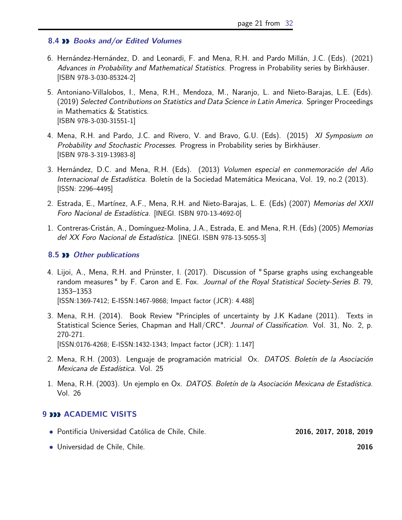#### **8.4 Books and/or Edited Volumes**

- 6. Hernández-Hernández, D. and Leonardi, F. and Mena, R.H. and Pardo Millán, J.C. (Eds). (2021) Advances in Probability and Mathematical Statistics. Progress in Probability series by Birkhäuser. [ISBN 978-3-030-85324-2]
- 5. Antoniano-Villalobos, I., Mena, R.H., Mendoza, M., Naranjo, L. and Nieto-Barajas, L.E. (Eds). (2019) Selected Contributions on Statistics and Data Science in Latin America. Springer Proceedings in Mathematics & Statistics. [ISBN 978-3-030-31551-1]
- 4. Mena, R.H. and Pardo, J.C. and Rivero, V. and Bravo, G.U. (Eds). (2015) XI Symposium on Probability and Stochastic Processes. Progress in Probability series by Birkhäuser. [ISBN 978-3-319-13983-8]
- 3. Hernández, D.C. and Mena, R.H. (Eds). (2013) Volumen especial en conmemoración del Año Internacional de Estadística. Boletín de la Sociedad Matemática Mexicana, Vol. 19, no.2 (2013). [ISSN: 2296–4495]
- 2. Estrada, E., Martínez, A.F., Mena, R.H. and Nieto-Barajas, L. E. (Eds) (2007) Memorias del XXII Foro Nacional de Estadística. [INEGI. ISBN 970-13-4692-0]
- 1. Contreras-Cristán, A., Domínguez-Molina, J.A., Estrada, E. and Mena, R.H. (Eds) (2005) Memorias del XX Foro Nacional de Estadística. [INEGI. ISBN 978-13-5055-3]

#### <span id="page-20-0"></span>**8.5 Other publications**

- 4. Lijoi, A., Mena, R.H. and Prünster, I. (2017). Discussion of " Sparse graphs using exchangeable random measures " by F. Caron and E. Fox. Journal of the Royal Statistical Society-Series B. 79, 1353–1353 [ISSN:1369-7412; E-ISSN:1467-9868; Impact factor (JCR): 4.488]
- 3. Mena, R.H. (2014). Book Review "Principles of uncertainty by J.K Kadane (2011). Texts in Statistical Science Series, Chapman and Hall/CRC". Journal of Classification. Vol. 31, No. 2, p. 270-271. [ISSN:0176-4268; E-ISSN:1432-1343; Impact factor (JCR): 1.147]
- 2. Mena, R.H. (2003). Lenguaje de programación matricial Ox. *DATOS. Boletín de la Asociación* Mexicana de Estadística. Vol. 25
- 1. Mena, R.H. (2003). Un ejemplo en Ox. DATOS. Boletín de la Asociación Mexicana de Estadística. Vol. 26

#### <span id="page-20-1"></span>**9 ACADEMIC VISITS**

- *•* Pontificia Universidad Católica de Chile, Chile. **2016, 2017, 2018, 2019**
- *•* Universidad de Chile, Chile. **2016**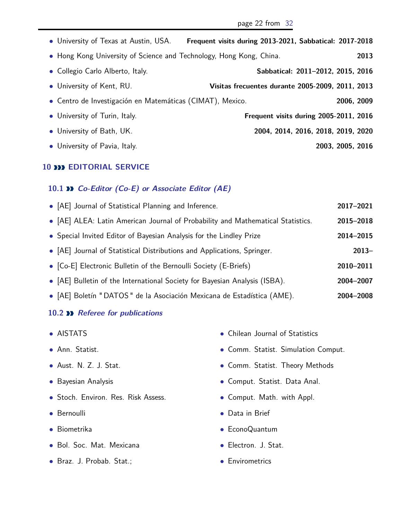| • University of Texas at Austin, USA.                               | Frequent visits during 2013-2021, Sabbatical: 2017-2018 |
|---------------------------------------------------------------------|---------------------------------------------------------|
| • Hong Kong University of Science and Technology, Hong Kong, China. | 2013                                                    |
| • Collegio Carlo Alberto, Italy.                                    | Sabbatical: 2011-2012, 2015, 2016                       |
| • University of Kent, RU.                                           | <b>Visitas frecuentes durante 2005-2009, 2011, 2013</b> |
| • Centro de Investigación en Matemáticas (CIMAT), Mexico.           | 2006, 2009                                              |
| • University of Turin, Italy.                                       | Frequent visits during 2005-2011, 2016                  |
| • University of Bath, UK.                                           | 2004, 2014, 2016, 2018, 2019, 2020                      |
| • University of Pavia, Italy.                                       | 2003, 2005, 2016                                        |

#### <span id="page-21-0"></span>**10 <b>EDITORIAL SERVICE**

#### <span id="page-21-1"></span>**10.1 Co-Editor (Co-E) or Associate Editor (AE)**

| • [AE] Journal of Statistical Planning and Inference.                           | 2017-2021 |
|---------------------------------------------------------------------------------|-----------|
| • [AE] ALEA: Latin American Journal of Probability and Mathematical Statistics. | 2015-2018 |
| • Special Invited Editor of Bayesian Analysis for the Lindley Prize             | 2014-2015 |
| • [AE] Journal of Statistical Distributions and Applications, Springer.         | $2013 -$  |
| • [Co-E] Electronic Bulletin of the Bernoulli Society (E-Briefs)                | 2010-2011 |
| • [AE] Bulletin of the International Society for Bayesian Analysis (ISBA).      | 2004-2007 |
| • [AE] Boletín "DATOS" de la Asociación Mexicana de Estadística (AME).          | 2004-2008 |

#### <span id="page-21-2"></span>**10.2 Referee for publications**

- *•* AISTATS
- *•* Ann. Statist.
- *•* Aust. N. Z. J. Stat.
- *•* Bayesian Analysis
- *•* Stoch. Environ. Res. Risk Assess.
- *•* Bernoulli
- *•* Biometrika
- *•* Bol. Soc. Mat. Mexicana
- *•* Braz. J. Probab. Stat.;
- *•* Chilean Journal of Statistics
- *•* Comm. Statist. Simulation Comput.
- *•* Comm. Statist. Theory Methods
- *•* Comput. Statist. Data Anal.
- *•* Comput. Math. with Appl.
- *•* Data in Brief
- *•* EconoQuantum
- *•* Electron. J. Stat.
- *•* Envirometrics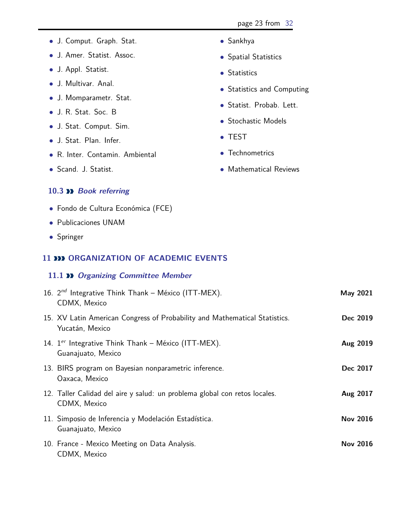- *•* J. Comput. Graph. Stat.
- *•* J. Amer. Statist. Assoc.
- *•* J. Appl. Statist.
- *•* J. Multivar. Anal.
- *•* J. Momparametr. Stat.
- *•* J. R. Stat. Soc. B
- *•* J. Stat. Comput. Sim.
- *•* J. Stat. Plan. Infer.
- *•* R. Inter. Contamin. Ambiental
- *•* Scand. J. Statist.
- *•* Sankhya
- *•* Spatial Statistics
- *•* Statistics
- *•* Statistics and Computing
- *•* Statist. Probab. Lett.
- *•* Stochastic Models
- *•* TEST
- *•* Technometrics
- *•* Mathematical Reviews

#### <span id="page-22-0"></span>**10.3 Book referring**

- *•* Fondo de Cultura Económica (FCE)
- *•* Publicaciones UNAM
- <span id="page-22-1"></span>*•* Springer

#### **11 <b>DD** ORGANIZATION OF ACADEMIC EVENTS

#### <span id="page-22-2"></span>**11.1 Organizing Committee Member**

| 16. $2^{nd}$ Integrative Think Thank – México (ITT-MEX).<br>CDMX, Mexico                      | May 2021        |
|-----------------------------------------------------------------------------------------------|-----------------|
| 15. XV Latin American Congress of Probability and Mathematical Statistics.<br>Yucatán, Mexico | Dec 2019        |
| 14. $1^{er}$ Integrative Think Thank – México (ITT-MEX).<br>Guanajuato, Mexico                | Aug 2019        |
| 13. BIRS program on Bayesian nonparametric inference.<br>Oaxaca, Mexico                       | Dec 2017        |
| 12. Taller Calidad del aire y salud: un problema global con retos locales.<br>CDMX, Mexico    | Aug 2017        |
| 11. Simposio de Inferencia y Modelación Estadística.<br>Guanajuato, Mexico                    | <b>Nov 2016</b> |
| 10. France - Mexico Meeting on Data Analysis.<br>CDMX, Mexico                                 | <b>Nov 2016</b> |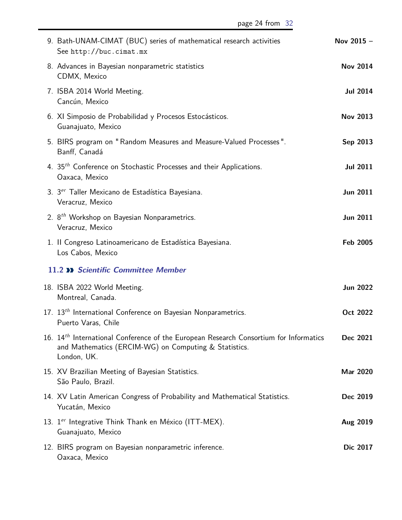<span id="page-23-0"></span>

| 9. Bath-UNAM-CIMAT (BUC) series of mathematical research activities<br>See http://buc.cimat.mx                                                                            | Nov 2015 -      |
|---------------------------------------------------------------------------------------------------------------------------------------------------------------------------|-----------------|
| 8. Advances in Bayesian nonparametric statistics<br>CDMX, Mexico                                                                                                          | <b>Nov 2014</b> |
| 7. ISBA 2014 World Meeting.<br>Cancún, Mexico                                                                                                                             | <b>Jul 2014</b> |
| 6. XI Simposio de Probabilidad y Procesos Estocásticos.<br>Guanajuato, Mexico                                                                                             | <b>Nov 2013</b> |
| 5. BIRS program on "Random Measures and Measure-Valued Processes".<br>Banff, Canadá                                                                                       | Sep 2013        |
| 4. 35 <sup>th</sup> Conference on Stochastic Processes and their Applications.<br>Oaxaca, Mexico                                                                          | <b>Jul 2011</b> |
| 3. 3 <sup>er</sup> Taller Mexicano de Estadística Bayesiana.<br>Veracruz, Mexico                                                                                          | <b>Jun 2011</b> |
| 2. 8 <sup>th</sup> Workshop on Bayesian Nonparametrics.<br>Veracruz, Mexico                                                                                               | <b>Jun 2011</b> |
| 1. Il Congreso Latinoamericano de Estadística Bayesiana.<br>Los Cabos, Mexico                                                                                             | <b>Feb 2005</b> |
| 11.2 >> Scientific Committee Member                                                                                                                                       |                 |
| 18. ISBA 2022 World Meeting.<br>Montreal, Canada.                                                                                                                         | <b>Jun 2022</b> |
| 17. 13 <sup>th</sup> International Conference on Bayesian Nonparametrics.<br>Puerto Varas, Chile                                                                          | Oct 2022        |
| 16. 14 <sup>th</sup> International Conference of the European Research Consortium for Informatics<br>and Mathematics (ERCIM-WG) on Computing & Statistics.<br>London, UK. | Dec 2021        |
| 15. XV Brazilian Meeting of Bayesian Statistics.<br>São Paulo, Brazil.                                                                                                    | Mar 2020        |
| 14. XV Latin American Congress of Probability and Mathematical Statistics.<br>Yucatán, Mexico                                                                             | Dec 2019        |
| 13. 1 <sup>er</sup> Integrative Think Thank en México (ITT-MEX).<br>Guanajuato, Mexico                                                                                    | Aug 2019        |
| 12. BIRS program on Bayesian nonparametric inference.<br>Oaxaca, Mexico                                                                                                   | Dic 2017        |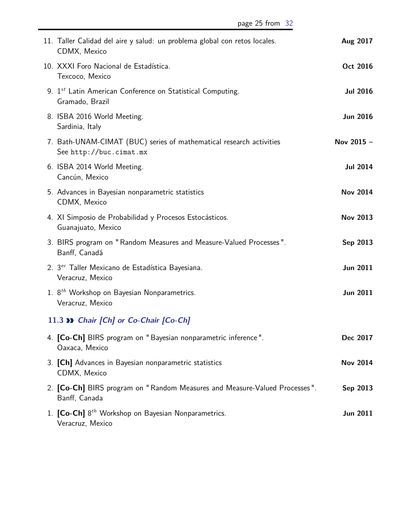| 11. Taller Calidad del aire y salud: un problema global con retos locales.<br>CDMX, Mexico     | Aug 2017        |
|------------------------------------------------------------------------------------------------|-----------------|
| 10. XXXI Foro Nacional de Estadística.<br>Texcoco, Mexico                                      | Oct 2016        |
| 9. 1st Latin American Conference on Statistical Computing.<br>Gramado, Brazil                  | <b>Jul 2016</b> |
| 8. ISBA 2016 World Meeting.<br>Sardinia, Italy                                                 | <b>Jun 2016</b> |
| 7. Bath-UNAM-CIMAT (BUC) series of mathematical research activities<br>See http://buc.cimat.mx | Nov 2015 -      |
| 6. ISBA 2014 World Meeting.<br>Cancún, Mexico                                                  | <b>Jul 2014</b> |
| 5. Advances in Bayesian nonparametric statistics<br>CDMX, Mexico                               | <b>Nov 2014</b> |
| 4. XI Simposio de Probabilidad y Procesos Estocásticos.<br>Guanajuato, Mexico                  | <b>Nov 2013</b> |
| 3. BIRS program on "Random Measures and Measure-Valued Processes".<br>Banff, Canadá            | Sep 2013        |
| 2. 3 <sup>er</sup> Taller Mexicano de Estadística Bayesiana.<br>Veracruz, Mexico               | <b>Jun 2011</b> |
| 1. 8 <sup>th</sup> Workshop on Bayesian Nonparametrics.<br>Veracruz, Mexico                    | <b>Jun 2011</b> |
| 11.3 >> Chair [Ch] or Co-Chair [Co-Ch]                                                         |                 |
| 4. [Co-Ch] BIRS program on "Bayesian nonparametric inference".<br>Oaxaca, Mexico               | Dec 2017        |

- <span id="page-24-0"></span>3. **[Ch]** Advances in Bayesian nonparametric statistics **Nov 2014** CDMX, Mexico
- 2. **[Co-Ch]** BIRS program on " Random Measures and Measure-Valued Processes ". **Sep 2013** Banff, Canada
- <span id="page-24-1"></span>1. **[Co-Ch]** 8 *th* Workshop on Bayesian Nonparametrics. **Jun 2011** Veracruz, Mexico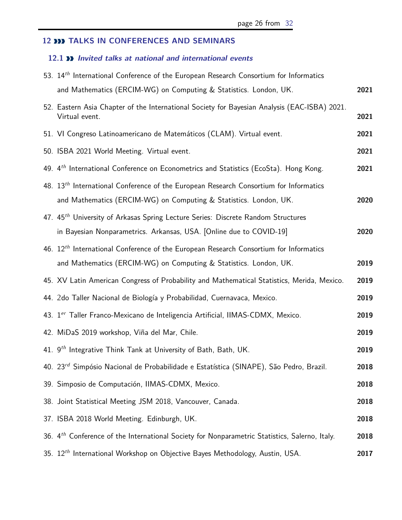## **12 TALKS IN CONFERENCES AND SEMINARS**

#### <span id="page-25-0"></span>**12.1 Invited talks at national and international events**

| 53. 14 <sup>th</sup> International Conference of the European Research Consortium for Informatics                                                                      |      |
|------------------------------------------------------------------------------------------------------------------------------------------------------------------------|------|
| and Mathematics (ERCIM-WG) on Computing & Statistics. London, UK.                                                                                                      | 2021 |
| 52. Eastern Asia Chapter of the International Society for Bayesian Analysis (EAC-ISBA) 2021.<br>Virtual event.                                                         | 2021 |
| 51. VI Congreso Latinoamericano de Matemáticos (CLAM). Virtual event.                                                                                                  | 2021 |
| 50. ISBA 2021 World Meeting. Virtual event.                                                                                                                            | 2021 |
| 49. 4 <sup>th</sup> International Conference on Econometrics and Statistics (EcoSta). Hong Kong.                                                                       | 2021 |
| 48. 13 <sup>th</sup> International Conference of the European Research Consortium for Informatics<br>and Mathematics (ERCIM-WG) on Computing & Statistics. London, UK. | 2020 |
| 47. 45 <sup>th</sup> University of Arkasas Spring Lecture Series: Discrete Random Structures<br>in Bayesian Nonparametrics. Arkansas, USA. [Online due to COVID-19]    | 2020 |
| 46. $12th$ International Conference of the European Research Consortium for Informatics<br>and Mathematics (ERCIM-WG) on Computing & Statistics. London, UK.           | 2019 |
| 45. XV Latin American Congress of Probability and Mathematical Statistics, Merida, Mexico.                                                                             | 2019 |
| 44. 2do Taller Nacional de Biología y Probabilidad, Cuernavaca, Mexico.                                                                                                | 2019 |
| 43. 1er Taller Franco-Mexicano de Inteligencia Artificial, IIMAS-CDMX, Mexico.                                                                                         | 2019 |
| 42. MiDaS 2019 workshop, Viña del Mar, Chile.                                                                                                                          | 2019 |
| 41. 9 <sup>th</sup> Integrative Think Tank at University of Bath, Bath, UK.                                                                                            | 2019 |
| 40. 23 <sup>rd</sup> Simpósio Nacional de Probabilidade e Estatística (SINAPE), São Pedro, Brazil.                                                                     | 2018 |
| 39. Simposio de Computación, IIMAS-CDMX, Mexico.                                                                                                                       | 2018 |
| 38. Joint Statistical Meeting JSM 2018, Vancouver, Canada.                                                                                                             | 2018 |
| 37. ISBA 2018 World Meeting. Edinburgh, UK.                                                                                                                            | 2018 |
| 36. 4 <sup>th</sup> Conference of the International Society for Nonparametric Statistics, Salerno, Italy.                                                              | 2018 |
| 35. 12 <sup>th</sup> International Workshop on Objective Bayes Methodology, Austin, USA.                                                                               | 2017 |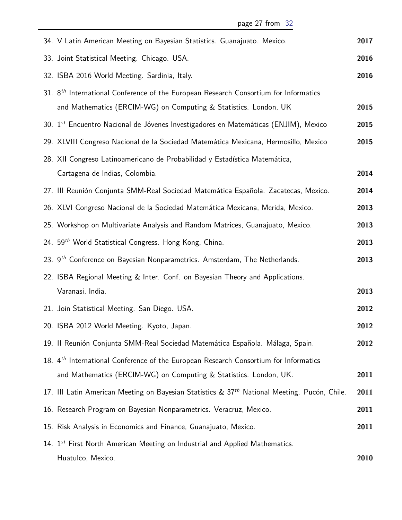| 34. V Latin American Meeting on Bayesian Statistics. Guanajuato. Mexico.                                 | 2017 |
|----------------------------------------------------------------------------------------------------------|------|
| 33. Joint Statistical Meeting. Chicago. USA.                                                             | 2016 |
| 32. ISBA 2016 World Meeting. Sardinia, Italy.                                                            | 2016 |
| 31. 8 <sup>th</sup> International Conference of the European Research Consortium for Informatics         |      |
| and Mathematics (ERCIM-WG) on Computing & Statistics. London, UK                                         | 2015 |
| 30. 1 <sup>st</sup> Encuentro Nacional de Jóvenes Investigadores en Matemáticas (ENJIM), Mexico          | 2015 |
| 29. XLVIII Congreso Nacional de la Sociedad Matemática Mexicana, Hermosillo, Mexico                      | 2015 |
| 28. XII Congreso Latinoamericano de Probabilidad y Estadística Matemática,                               |      |
| Cartagena de Indias, Colombia.                                                                           | 2014 |
| 27. III Reunión Conjunta SMM-Real Sociedad Matemática Española. Zacatecas, Mexico.                       | 2014 |
| 26. XLVI Congreso Nacional de la Sociedad Matemática Mexicana, Merida, Mexico.                           | 2013 |
| 25. Workshop on Multivariate Analysis and Random Matrices, Guanajuato, Mexico.                           | 2013 |
| 24. 59 <sup>th</sup> World Statistical Congress. Hong Kong, China.                                       | 2013 |
| 23. 9 <sup>th</sup> Conference on Bayesian Nonparametrics. Amsterdam, The Netherlands.                   | 2013 |
| 22. ISBA Regional Meeting & Inter. Conf. on Bayesian Theory and Applications.                            |      |
| Varanasi, India.                                                                                         | 2013 |
| 21. Join Statistical Meeting. San Diego. USA.                                                            | 2012 |
| 20. ISBA 2012 World Meeting. Kyoto, Japan.                                                               | 2012 |
| 19. Il Reunión Conjunta SMM-Real Sociedad Matemática Española. Málaga, Spain.                            | 2012 |
| 18. 4 <sup>th</sup> International Conference of the European Research Consortium for Informatics         |      |
| and Mathematics (ERCIM-WG) on Computing & Statistics. London, UK.                                        | 2011 |
| 17. III Latin American Meeting on Bayesian Statistics & 37 <sup>th</sup> National Meeting. Pucón, Chile. | 2011 |
| 16. Research Program on Bayesian Nonparametrics. Veracruz, Mexico.                                       | 2011 |
| 15. Risk Analysis in Economics and Finance, Guanajuato, Mexico.                                          | 2011 |
| 14. $1^{st}$ First North American Meeting on Industrial and Applied Mathematics.                         |      |
| Huatulco, Mexico.                                                                                        | 2010 |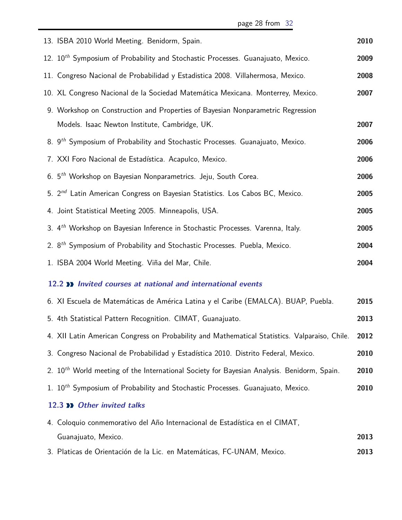page 28 from [32](#page-31-0)

<span id="page-27-1"></span><span id="page-27-0"></span>

| 13. ISBA 2010 World Meeting. Benidorm, Spain.                                                          | 2010 |
|--------------------------------------------------------------------------------------------------------|------|
| 12. 10 <sup>th</sup> Symposium of Probability and Stochastic Processes. Guanajuato, Mexico.            | 2009 |
| 11. Congreso Nacional de Probabilidad y Estadistica 2008. Villahermosa, Mexico.                        | 2008 |
| 10. XL Congreso Nacional de la Sociedad Matemática Mexicana. Monterrey, Mexico.                        | 2007 |
| 9. Workshop on Construction and Properties of Bayesian Nonparametric Regression                        |      |
| Models. Isaac Newton Institute, Cambridge, UK.                                                         | 2007 |
| 8. 9 <sup>th</sup> Symposium of Probability and Stochastic Processes. Guanajuato, Mexico.              | 2006 |
| 7. XXI Foro Nacional de Estadística. Acapulco, Mexico.                                                 | 2006 |
| 6. 5 <sup>th</sup> Workshop on Bayesian Nonparametrics. Jeju, South Corea.                             | 2006 |
| 5. 2 <sup>nd</sup> Latin American Congress on Bayesian Statistics. Los Cabos BC, Mexico.               | 2005 |
| 4. Joint Statistical Meeting 2005. Minneapolis, USA.                                                   | 2005 |
| 3. 4 <sup>th</sup> Workshop on Bayesian Inference in Stochastic Processes. Varenna, Italy.             | 2005 |
| 2. 8 <sup>th</sup> Symposium of Probability and Stochastic Processes. Puebla, Mexico.                  | 2004 |
| 1. ISBA 2004 World Meeting. Viña del Mar, Chile.                                                       | 2004 |
| 12.2 >> Invited courses at national and international events                                           |      |
| 6. XI Escuela de Matemáticas de América Latina y el Caribe (EMALCA). BUAP, Puebla.                     | 2015 |
| 5. 4th Statistical Pattern Recognition. CIMAT, Guanajuato.                                             | 2013 |
| 4. XII Latin American Congress on Probability and Mathematical Statistics. Valparaiso, Chile.          | 2012 |
| 3. Congreso Nacional de Probabilidad y Estadística 2010. Distrito Federal, Mexico.                     | 2010 |
| 2. 10 <sup>th</sup> World meeting of the International Society for Bayesian Analysis. Benidorm, Spain. | 2010 |
| 1. 10 <sup>th</sup> Symposium of Probability and Stochastic Processes. Guanajuato, Mexico.             | 2010 |
| 12.3 >> Other invited talks                                                                            |      |
| 4. Coloquio conmemorativo del Año Internacional de Estadística en el CIMAT,                            |      |
| Guanajuato, Mexico.                                                                                    | 2013 |
| 3. Platicas de Orientación de la Lic. en Matemáticas, FC-UNAM, Mexico.                                 | 2013 |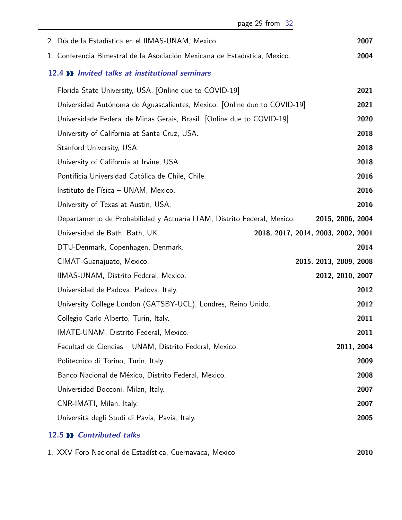<span id="page-28-0"></span>

|                           | page 29 from 32                                                            |                        |            |      |
|---------------------------|----------------------------------------------------------------------------|------------------------|------------|------|
|                           | 2. Día de la Estadística en el IIMAS-UNAM, Mexico.                         |                        |            | 2007 |
|                           | 1. Conferencia Bimestral de la Asociación Mexicana de Estadística, Mexico. |                        |            | 2004 |
|                           | 12.4 >> Invited talks at institutional seminars                            |                        |            |      |
|                           | Florida State University, USA. [Online due to COVID-19]                    |                        |            | 2021 |
|                           | Universidad Autónoma de Aguascalientes, Mexico. [Online due to COVID-19]   |                        |            | 2021 |
|                           | Universidade Federal de Minas Gerais, Brasil. [Online due to COVID-19]     |                        |            | 2020 |
|                           | University of California at Santa Cruz, USA.                               |                        |            | 2018 |
|                           | Stanford University, USA.                                                  |                        |            | 2018 |
|                           | University of California at Irvine, USA.                                   |                        |            | 2018 |
|                           | Pontificia Universidad Católica de Chile, Chile.                           |                        |            | 2016 |
|                           | Instituto de Física - UNAM, Mexico.                                        |                        |            | 2016 |
|                           | University of Texas at Austin, USA.                                        |                        |            | 2016 |
|                           | Departamento de Probabilidad y Actuaría ITAM, Distrito Federal, Mexico.    | 2015, 2006, 2004       |            |      |
|                           | Universidad de Bath, Bath, UK.<br>2018, 2017, 2014, 2003, 2002, 2001       |                        |            |      |
|                           | DTU-Denmark, Copenhagen, Denmark.                                          |                        |            | 2014 |
|                           | CIMAT-Guanajuato, Mexico.                                                  | 2015, 2013, 2009, 2008 |            |      |
|                           | IIMAS-UNAM, Distrito Federal, Mexico.                                      | 2012, 2010, 2007       |            |      |
|                           | Universidad de Padova, Padova, Italy.                                      |                        |            | 2012 |
|                           | University College London (GATSBY-UCL), Londres, Reino Unido.              |                        |            | 2012 |
|                           | Collegio Carlo Alberto, Turin, Italy.                                      |                        |            | 2011 |
|                           | IMATE-UNAM, Distrito Federal, Mexico.                                      |                        |            | 2011 |
|                           | Facultad de Ciencias - UNAM, Distrito Federal, Mexico.                     |                        | 2011, 2004 |      |
|                           | Politecnico di Torino, Turin, Italy.                                       |                        |            | 2009 |
|                           | Banco Nacional de México, Distrito Federal, Mexico.                        |                        |            | 2008 |
|                           | Universidad Bocconi, Milan, Italy.                                         |                        |            | 2007 |
| CNR-IMATI, Milan, Italy.  |                                                                            |                        |            | 2007 |
|                           | Università degli Studi di Pavia, Pavia, Italy.                             |                        |            | 2005 |
| 12.5 >> Contributed talks |                                                                            |                        |            |      |

<span id="page-28-2"></span><span id="page-28-1"></span>

| 1. XXV Foro Nacional de Estadística, Cuernavaca, Mexico | 2010 |
|---------------------------------------------------------|------|
|---------------------------------------------------------|------|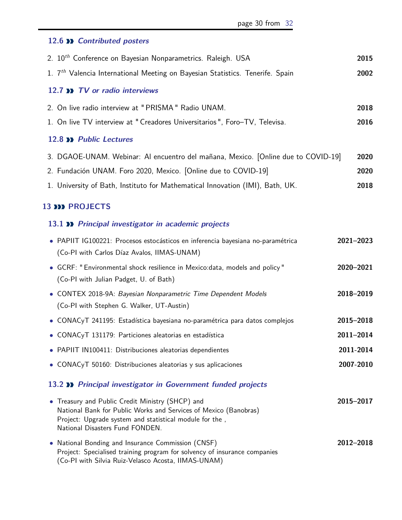#### 12.6 *N* Contributed posters

<span id="page-29-1"></span><span id="page-29-0"></span>

| 2. 10 <sup>th</sup> Conference on Bayesian Nonparametrics. Raleigh. USA                   | 2015 |  |
|-------------------------------------------------------------------------------------------|------|--|
| 1. 7 <sup>th</sup> Valencia International Meeting on Bayesian Statistics. Tenerife. Spain | 2002 |  |
| 12.7 >> TV or radio interviews                                                            |      |  |
| 2. On live radio interview at "PRISMA" Radio UNAM.                                        | 2018 |  |
| 1. On live TV interview at "Creadores Universitarios", Foro-TV, Televisa.                 | 2016 |  |
| 12.8 >> Public Lectures                                                                   |      |  |
| 3. DGAOE-UNAM. Webinar: Al encuentro del mañana, Mexico. [Online due to COVID-19]         | 2020 |  |
| 2. Fundación UNAM. Foro 2020, Mexico. [Online due to COVID-19]                            | 2020 |  |
| 1. University of Bath, Instituto for Mathematical Innovation (IMI), Bath, UK.             | 2018 |  |

#### <span id="page-29-2"></span>**13 <b>DD** PROJECTS

#### <span id="page-29-3"></span>**13.1 Principal investigator in academic projects**

| • PAPIIT IG100221: Procesos estocásticos en inferencia bayesiana no-paramétrica<br>(Co-PI with Carlos Díaz Avalos, IIMAS-UNAM) | $2021 - 2023$ |
|--------------------------------------------------------------------------------------------------------------------------------|---------------|
| • GCRF: "Environmental shock resilience in Mexico: data, models and policy"<br>(Co-PI with Julian Padget, U. of Bath)          | 2020-2021     |
| • CONTEX 2018-9A: Bayesian Nonparametric Time Dependent Models<br>(Co-PI with Stephen G. Walker, UT-Austin)                    | 2018-2019     |
| • CONACyT 241195: Estadística bayesiana no-paramétrica para datos complejos                                                    | 2015-2018     |
| • CONACyT 131179: Particiones aleatorias en estadística                                                                        | $2011 - 2014$ |
| • PAPIIT IN100411: Distribuciones aleatorias dependientes                                                                      | 2011-2014     |
| • CONACyT 50160: Distribuciones aleatorias y sus aplicaciones                                                                  | 2007-2010     |

#### <span id="page-29-4"></span>**13.2 Principal investigator in Government funded projects**

| • Treasury and Public Credit Ministry (SHCP) and                          | 2015-2017 |
|---------------------------------------------------------------------------|-----------|
| National Bank for Public Works and Services of Mexico (Banobras)          |           |
| Project: Upgrade system and statistical module for the,                   |           |
| National Disasters Fund FONDEN.                                           |           |
| • National Bonding and Insurance Commission (CNSF)                        | 2012-2018 |
| Project: Specialised training program for solvency of insurance companies |           |
| (Co-PI with Silvia Ruiz-Velasco Acosta, IIMAS-UNAM)                       |           |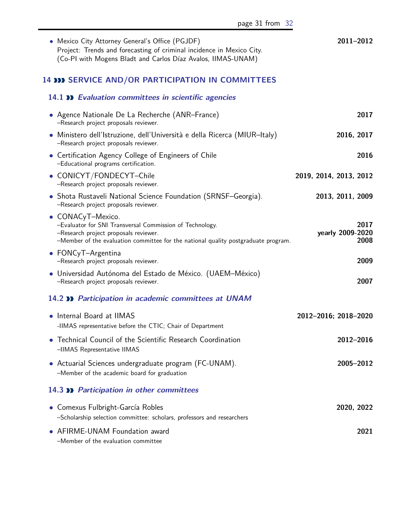*•* Mexico City Attorney General's Office (PGJDF) **2011–2012** Project: Trends and forecasting of criminal incidence in Mexico City. (Co-PI with Mogens Bladt and Carlos Díaz Avalos, IIMAS-UNAM)

#### <span id="page-30-0"></span>**14 SERVICE AND/OR PARTICIPATION IN COMMITTEES**

<span id="page-30-4"></span><span id="page-30-3"></span><span id="page-30-2"></span><span id="page-30-1"></span>

| 14.1 >> Evaluation committees in scientific agencies                                                                                                                                                         |                                  |  |
|--------------------------------------------------------------------------------------------------------------------------------------------------------------------------------------------------------------|----------------------------------|--|
| • Agence Nationale De La Recherche (ANR–France)<br>-Research project proposals reviewer.                                                                                                                     | 2017                             |  |
| • Ministero dell'Istruzione, dell'Università e della Ricerca (MIUR-Italy)<br>-Research project proposals reviewer.                                                                                           | 2016, 2017                       |  |
| • Certification Agency College of Engineers of Chile<br>-Educational programs certification.                                                                                                                 | 2016                             |  |
| • CONICYT/FONDECYT-Chile<br>-Research project proposals reviewer.                                                                                                                                            | 2019, 2014, 2013, 2012           |  |
| • Shota Rustaveli National Science Foundation (SRNSF-Georgia).<br>-Research project proposals reviewer.                                                                                                      | 2013, 2011, 2009                 |  |
| • CONACyT-Mexico.<br>-Evaluator for SNI Transversal Commission of Technology.<br>-Research project proposals reviewer.<br>-Member of the evaluation committee for the national quality postgraduate program. | 2017<br>yearly 2009-2020<br>2008 |  |
| • FONCyT-Argentina<br>-Research project proposals reviewer.                                                                                                                                                  | 2009                             |  |
| · Universidad Autónoma del Estado de México. (UAEM-México)<br>-Research project proposals reviewer.                                                                                                          | 2007                             |  |
| 14.2 >> Participation in academic committees at UNAM                                                                                                                                                         |                                  |  |
| • Internal Board at IIMAS<br>-IIMAS representative before the CTIC; Chair of Department                                                                                                                      | 2012-2016; 2018-2020             |  |
| • Technical Council of the Scientific Research Coordination<br>-IIMAS Representative IIMAS                                                                                                                   | 2012-2016                        |  |
| • Actuarial Sciences undergraduate program (FC-UNAM).<br>-Member of the academic board for graduation                                                                                                        | 2005-2012                        |  |
| 14.3 >> Participation in other committees                                                                                                                                                                    |                                  |  |
| • Comexus Fulbright-García Robles<br>-Scholarship selection committee: scholars, professors and researchers                                                                                                  | 2020, 2022                       |  |
| • AFIRME-UNAM Foundation award<br>-Member of the evaluation committee                                                                                                                                        | 2021                             |  |